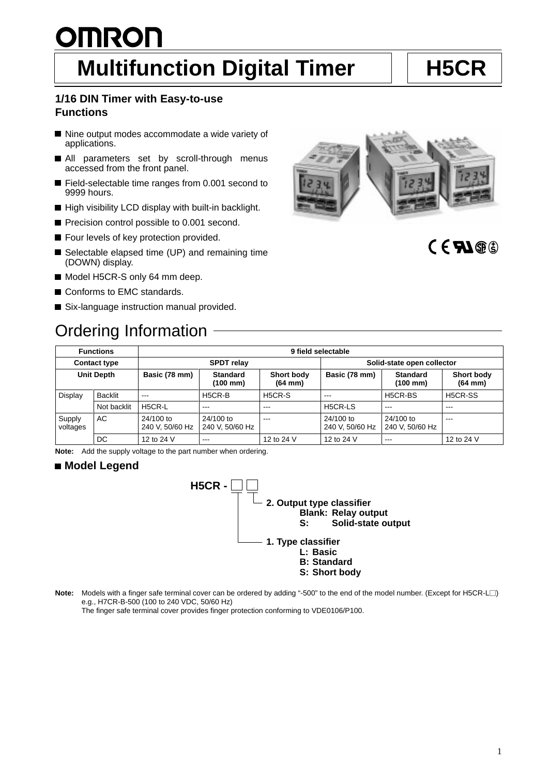### 1

# <u>OMRON</u> **Multifunction Digital Timer | | H5CR**

### **1/16 DIN Timer with Easy-to-use Functions**

- Nine output modes accommodate a wide variety of applications.
- All parameters set by scroll-through menus accessed from the front panel.
- Field-selectable time ranges from 0.001 second to 9999 hours.
- High visibility LCD display with built-in backlight.
- Precision control possible to 0.001 second.
- Four levels of key protection provided.
- Selectable elapsed time (UP) and remaining time (DOWN) display.
- Model H5CR-S only 64 mm deep.
- Conforms to EMC standards.
- Six-language instruction manual provided.

## Ordering Information



### $CFM@$

| <b>Functions</b>    |             | 9 field selectable           |                              |                            |                              |                                         |                            |
|---------------------|-------------|------------------------------|------------------------------|----------------------------|------------------------------|-----------------------------------------|----------------------------|
| <b>Contact type</b> |             | <b>SPDT</b> relay            |                              |                            | Solid-state open collector   |                                         |                            |
| <b>Unit Depth</b>   |             | Basic (78 mm)                | <b>Standard</b><br>(100 mm)  | Short body<br>$(64$ mm $)$ | Basic (78 mm)                | <b>Standard</b><br>$(100 \, \text{mm})$ | Short body<br>$(64$ mm $)$ |
| Display             | Backlit     | $---$                        | H5CR-B                       | H5CR-S                     | $- - -$                      | H <sub>5</sub> CR-BS                    | H5CR-SS                    |
|                     | Not backlit | H5CR-L                       | $- - -$                      | ---                        | H5CR-LS                      | $-- -$                                  | ---                        |
| Supply<br>voltages  | AC          | 24/100 to<br>240 V, 50/60 Hz | 24/100 to<br>240 V, 50/60 Hz | $-$                        | 24/100 to<br>240 V, 50/60 Hz | 24/100 to<br>240 V, 50/60 Hz            | $- - -$                    |
|                     | DC          | 12 to 24 V                   | $- - -$                      | 12 to 24 V                 | 12 to 24 V                   | $\qquad \qquad -$                       | 12 to 24 V                 |

**Note:** Add the supply voltage to the part number when ordering.

### ■ Model Legend



**Note:** Models with a finger safe terminal cover can be ordered by adding "-500" to the end of the model number. (Except for H5CR-L $\Box$ ) e.g., H7CR-B-500 (100 to 240 VDC, 50/60 Hz)

The finger safe terminal cover provides finger protection conforming to VDE0106/P100.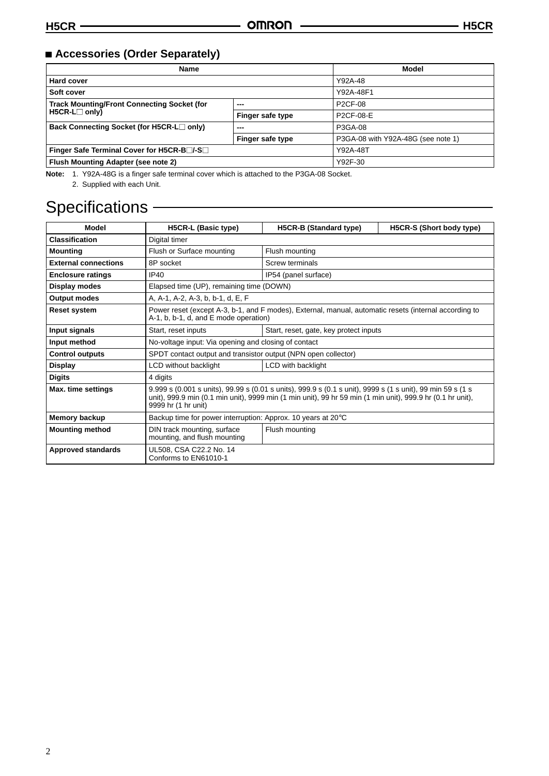### **Accessories (Order Separately)**

| <b>Name</b>                                        | Model            |                                    |
|----------------------------------------------------|------------------|------------------------------------|
| <b>Hard cover</b>                                  |                  | Y92A-48                            |
| Soft cover                                         |                  | Y92A-48F1                          |
| <b>Track Mounting/Front Connecting Socket (for</b> | ---              | <b>P2CF-08</b>                     |
| $H5CR-L \square$ only)                             | Finger safe type | P2CF-08-E                          |
| Back Connecting Socket (for H5CR-L□ only)          | ---              | P3GA-08                            |
|                                                    | Finger safe type | P3GA-08 with Y92A-48G (see note 1) |
| Finger Safe Terminal Cover for H5CR-B□/-S□         | Y92A-48T         |                                    |
| Flush Mounting Adapter (see note 2)                |                  | Y92F-30                            |

**Note:** 1. Y92A-48G is a finger safe terminal cover which is attached to the P3GA-08 Socket.

2. Supplied with each Unit.

### Specifications - **Specifications** -

| Model                       | H5CR-L (Basic type)                                                                                                                                                                                                                             | H5CR-B (Standard type) | H5CR-S (Short body type) |  |  |
|-----------------------------|-------------------------------------------------------------------------------------------------------------------------------------------------------------------------------------------------------------------------------------------------|------------------------|--------------------------|--|--|
| <b>Classification</b>       | Digital timer                                                                                                                                                                                                                                   |                        |                          |  |  |
| <b>Mounting</b>             | Flush or Surface mounting                                                                                                                                                                                                                       | Flush mounting         |                          |  |  |
| <b>External connections</b> | 8P socket                                                                                                                                                                                                                                       | Screw terminals        |                          |  |  |
| <b>Enclosure ratings</b>    | <b>IP40</b>                                                                                                                                                                                                                                     | IP54 (panel surface)   |                          |  |  |
| Display modes               | Elapsed time (UP), remaining time (DOWN)                                                                                                                                                                                                        |                        |                          |  |  |
| <b>Output modes</b>         | A, A-1, A-2, A-3, b, b-1, d, E, F                                                                                                                                                                                                               |                        |                          |  |  |
| <b>Reset system</b>         | Power reset (except A-3, b-1, and F modes), External, manual, automatic resets (internal according to<br>A-1, b, b-1, d, and E mode operation)                                                                                                  |                        |                          |  |  |
| Input signals               | Start, reset inputs<br>Start, reset, gate, key protect inputs                                                                                                                                                                                   |                        |                          |  |  |
| Input method                | No-voltage input: Via opening and closing of contact                                                                                                                                                                                            |                        |                          |  |  |
| <b>Control outputs</b>      | SPDT contact output and transistor output (NPN open collector)                                                                                                                                                                                  |                        |                          |  |  |
| <b>Display</b>              | LCD without backlight<br>LCD with backlight                                                                                                                                                                                                     |                        |                          |  |  |
| <b>Digits</b>               | 4 digits                                                                                                                                                                                                                                        |                        |                          |  |  |
| Max. time settings          | 9.999 s (0.001 s units), 99.99 s (0.01 s units), 999.9 s (0.1 s unit), 9999 s (1 s unit), 99 min 59 s (1 s<br>unit), 999.9 min (0.1 min unit), 9999 min (1 min unit), 99 hr 59 min (1 min unit), 999.9 hr (0.1 hr unit),<br>9999 hr (1 hr unit) |                        |                          |  |  |
| Memory backup               | Backup time for power interruption: Approx. 10 years at 20 °C                                                                                                                                                                                   |                        |                          |  |  |
| <b>Mounting method</b>      | DIN track mounting, surface<br>mounting, and flush mounting                                                                                                                                                                                     | Flush mounting         |                          |  |  |
| <b>Approved standards</b>   | UL508, CSA C22.2 No. 14<br>Conforms to EN61010-1                                                                                                                                                                                                |                        |                          |  |  |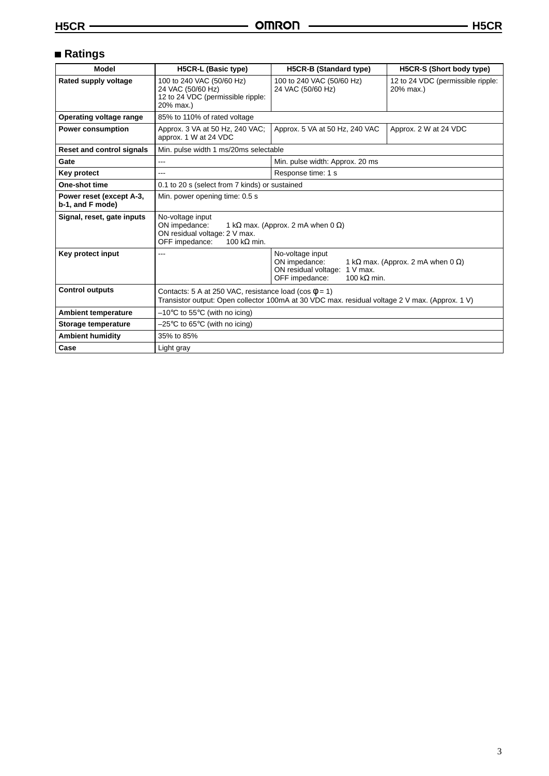### **Ratings**

| <b>Model</b>                                 | H5CR-L (Basic type)<br>H5CR-B (Standard type)                                                                                                                                |                                                | H5CR-S (Short body type)                       |  |
|----------------------------------------------|------------------------------------------------------------------------------------------------------------------------------------------------------------------------------|------------------------------------------------|------------------------------------------------|--|
| Rated supply voltage                         | 100 to 240 VAC (50/60 Hz)<br>24 VAC (50/60 Hz)<br>12 to 24 VDC (permissible ripple:<br>20% max.)                                                                             | 100 to 240 VAC (50/60 Hz)<br>24 VAC (50/60 Hz) | 12 to 24 VDC (permissible ripple:<br>20% max.) |  |
| Operating voltage range                      | 85% to 110% of rated voltage                                                                                                                                                 |                                                |                                                |  |
| <b>Power consumption</b>                     | Approx. 3 VA at 50 Hz, 240 VAC;<br>approx. 1 W at 24 VDC                                                                                                                     | Approx. 5 VA at 50 Hz, 240 VAC                 | Approx. 2 W at 24 VDC                          |  |
| <b>Reset and control signals</b>             | Min. pulse width 1 ms/20ms selectable                                                                                                                                        |                                                |                                                |  |
| Gate                                         | Min. pulse width: Approx. 20 ms                                                                                                                                              |                                                |                                                |  |
| Key protect                                  | Response time: 1 s<br>---                                                                                                                                                    |                                                |                                                |  |
| One-shot time                                | 0.1 to 20 s (select from 7 kinds) or sustained                                                                                                                               |                                                |                                                |  |
| Power reset (except A-3,<br>b-1, and F mode) | Min. power opening time: 0.5 s                                                                                                                                               |                                                |                                                |  |
| Signal, reset, gate inputs                   | No-voltage input<br>ON impedance:<br>1 k $\Omega$ max. (Approx. 2 mA when 0 $\Omega$ )<br>ON residual voltage: 2 V max.<br>OFF impedance:<br>100 k $\Omega$ min.             |                                                |                                                |  |
| Key protect input                            | No-voltage input<br>---<br>ON impedance:<br>1 k $\Omega$ max. (Approx. 2 mA when 0 $\Omega$ )<br>ON residual voltage:<br>$1 V$ max.<br>OFF impedance:<br>100 k $\Omega$ min. |                                                |                                                |  |
| <b>Control outputs</b>                       | Contacts: 5 A at 250 VAC, resistance load (cos $\phi$ = 1)<br>Transistor output: Open collector 100mA at 30 VDC max. residual voltage 2 V max. (Approx. 1 V)                 |                                                |                                                |  |
| <b>Ambient temperature</b>                   | $-10^{\circ}$ C to 55 $^{\circ}$ C (with no icing)                                                                                                                           |                                                |                                                |  |
| Storage temperature                          | $-25^{\circ}$ C to 65 $^{\circ}$ C (with no icing)                                                                                                                           |                                                |                                                |  |
| <b>Ambient humidity</b>                      | 35% to 85%                                                                                                                                                                   |                                                |                                                |  |
| Case                                         | Light gray                                                                                                                                                                   |                                                |                                                |  |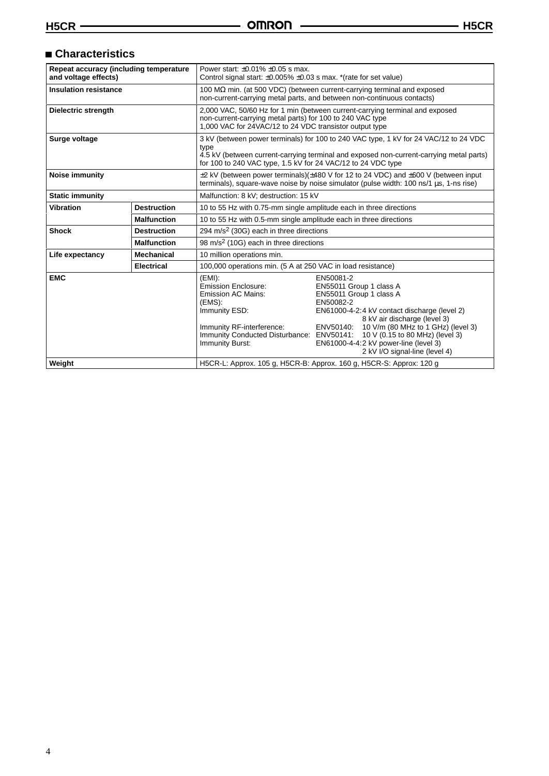### **Characteristics**

| Repeat accuracy (including temperature<br>and voltage effects) |                    | Power start: $\pm 0.01\%$ $\pm 0.05$ s max.<br>Control signal start: $\pm 0.005\% \pm 0.03$ s max. *(rate for set value)                                                                                                                                |                                                                                                                                                                                                                                                                                                                            |  |
|----------------------------------------------------------------|--------------------|---------------------------------------------------------------------------------------------------------------------------------------------------------------------------------------------------------------------------------------------------------|----------------------------------------------------------------------------------------------------------------------------------------------------------------------------------------------------------------------------------------------------------------------------------------------------------------------------|--|
| <b>Insulation resistance</b>                                   |                    | 100 $\mathsf{M}\Omega$ min. (at 500 VDC) (between current-carrying terminal and exposed<br>non-current-carrying metal parts, and between non-continuous contacts)                                                                                       |                                                                                                                                                                                                                                                                                                                            |  |
| <b>Dielectric strength</b>                                     |                    | 2,000 VAC, 50/60 Hz for 1 min (between current-carrying terminal and exposed<br>non-current-carrying metal parts) for 100 to 240 VAC type<br>1,000 VAC for 24VAC/12 to 24 VDC transistor output type                                                    |                                                                                                                                                                                                                                                                                                                            |  |
| Surge voltage                                                  |                    | 3 kV (between power terminals) for 100 to 240 VAC type, 1 kV for 24 VAC/12 to 24 VDC<br>type<br>4.5 kV (between current-carrying terminal and exposed non-current-carrying metal parts)<br>for 100 to 240 VAC type, 1.5 kV for 24 VAC/12 to 24 VDC type |                                                                                                                                                                                                                                                                                                                            |  |
| Noise immunity                                                 |                    | $\pm$ 2 kV (between power terminals)( $\pm$ 480 V for 12 to 24 VDC) and $\pm$ 600 V (between input<br>terminals), square-wave noise by noise simulator (pulse width: 100 ns/1 us, 1-ns rise)                                                            |                                                                                                                                                                                                                                                                                                                            |  |
| <b>Static immunity</b>                                         |                    | Malfunction: 8 kV; destruction: 15 kV                                                                                                                                                                                                                   |                                                                                                                                                                                                                                                                                                                            |  |
| <b>Vibration</b>                                               | <b>Destruction</b> | 10 to 55 Hz with 0.75-mm single amplitude each in three directions                                                                                                                                                                                      |                                                                                                                                                                                                                                                                                                                            |  |
|                                                                | <b>Malfunction</b> | 10 to 55 Hz with 0.5-mm single amplitude each in three directions                                                                                                                                                                                       |                                                                                                                                                                                                                                                                                                                            |  |
| <b>Shock</b>                                                   | <b>Destruction</b> | 294 m/s <sup>2</sup> (30G) each in three directions                                                                                                                                                                                                     |                                                                                                                                                                                                                                                                                                                            |  |
|                                                                | <b>Malfunction</b> | 98 m/s <sup>2</sup> (10G) each in three directions                                                                                                                                                                                                      |                                                                                                                                                                                                                                                                                                                            |  |
| Life expectancy                                                | <b>Mechanical</b>  | 10 million operations min.                                                                                                                                                                                                                              |                                                                                                                                                                                                                                                                                                                            |  |
|                                                                | <b>Electrical</b>  | 100,000 operations min. (5 A at 250 VAC in load resistance)                                                                                                                                                                                             |                                                                                                                                                                                                                                                                                                                            |  |
| <b>EMC</b>                                                     |                    | (EMI):<br><b>Emission Enclosure:</b><br><b>Emission AC Mains:</b><br>(EMS).<br>Immunity ESD:<br>Immunity RF-interference:<br>Immunity Conducted Disturbance: ENV50141:<br>Immunity Burst:                                                               | EN50081-2<br>EN55011 Group 1 class A<br>EN55011 Group 1 class A<br>EN50082-2<br>EN61000-4-2:4 kV contact discharge (level 2)<br>8 kV air discharge (level 3)<br>ENV50140: 10 V/m (80 MHz to 1 GHz) (level 3)<br>10 V (0.15 to 80 MHz) (level 3)<br>EN61000-4-4:2 kV power-line (level 3)<br>2 kV I/O signal-line (level 4) |  |
| Weight                                                         |                    | H5CR-L: Approx. 105 g, H5CR-B: Approx. 160 g, H5CR-S: Approx: 120 g                                                                                                                                                                                     |                                                                                                                                                                                                                                                                                                                            |  |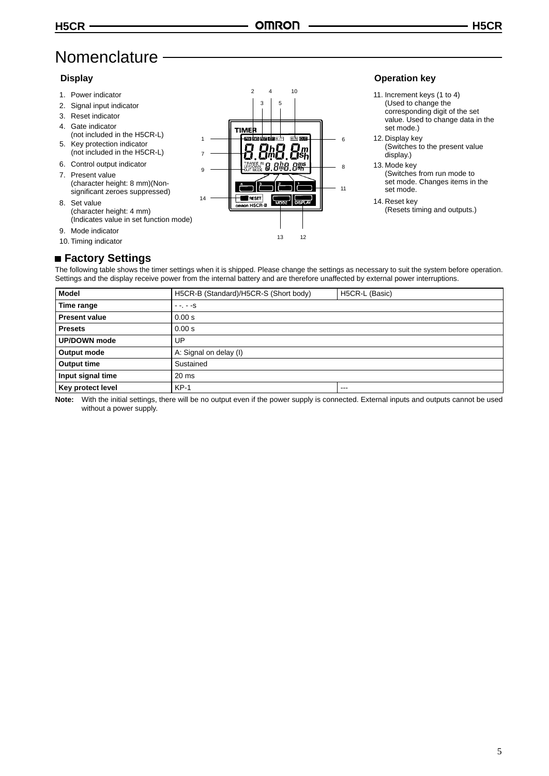### **Nomenclature**

### **Display**

- 1. Power indicator
- 2. Signal input indicator
- 3. Reset indicator
- 4. Gate indicator
- (not included in the H5CR-L) 5. Key protection indicator
- (not included in the H5CR-L) 6. Control output indicator
- 7. Present value (character height: 8 mm)(Nonsignificant zeroes suppressed)
- 8. Set value (character height: 4 mm) (Indicates value in set function mode)
- 9. Mode indicator
- 10. Timing indicator



### **Operation key**

- 11. Increment keys (1 to 4) (Used to change the corresponding digit of the set value. Used to change data in the set mode.)
- 12. Display key (Switches to the present value display.)
- 13. Mode key
	- (Switches from run mode to set mode. Changes items in the set mode.
- 14. Reset key (Resets timing and outputs.)

### **Factory Settings**

The following table shows the timer settings when it is shipped. Please change the settings as necessary to suit the system before operation. Settings and the display receive power from the internal battery and are therefore unaffected by external power interruptions.

| <b>Model</b>                          | H5CR-B (Standard)/H5CR-S (Short body)<br>H5CR-L (Basic) |  |  |  |
|---------------------------------------|---------------------------------------------------------|--|--|--|
| Time range                            | $- - - - S$                                             |  |  |  |
| <b>Present value</b>                  | 0.00 s                                                  |  |  |  |
| <b>Presets</b>                        | 0.00 s                                                  |  |  |  |
| <b>UP/DOWN</b> mode                   | UP                                                      |  |  |  |
| A: Signal on delay (I)<br>Output mode |                                                         |  |  |  |
| <b>Output time</b>                    | Sustained                                               |  |  |  |
| Input signal time                     | $20 \text{ ms}$                                         |  |  |  |
| Key protect level                     | $KP-1$<br>$-- -$                                        |  |  |  |

**Note:** With the initial settings, there will be no output even if the power supply is connected. External inputs and outputs cannot be used without a power supply.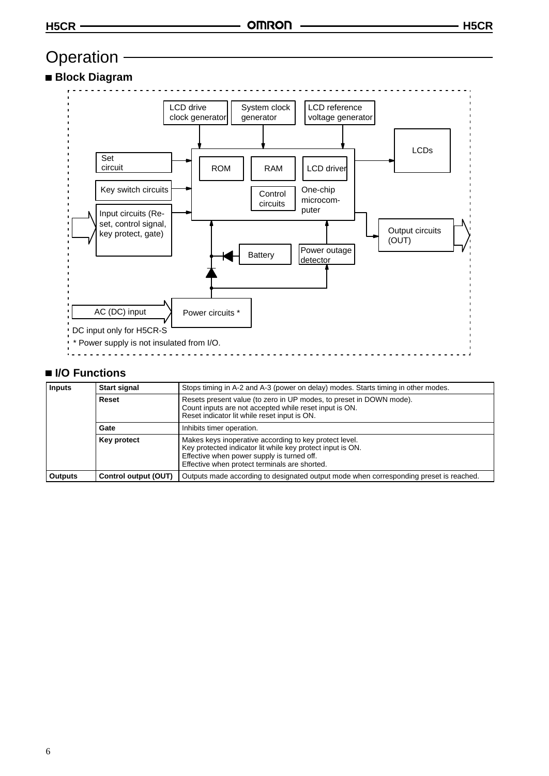### Operation -

### **Block Diagram**



### **I/O Functions**

| <b>Inputs</b>                     | <b>Start signal</b>  | Stops timing in A-2 and A-3 (power on delay) modes. Starts timing in other modes.                                                                                                                                   |  |
|-----------------------------------|----------------------|---------------------------------------------------------------------------------------------------------------------------------------------------------------------------------------------------------------------|--|
|                                   | Reset                | Resets present value (to zero in UP modes, to preset in DOWN mode).<br>Count inputs are not accepted while reset input is ON.<br>Reset indicator lit while reset input is ON.                                       |  |
| Inhibits timer operation.<br>Gate |                      |                                                                                                                                                                                                                     |  |
|                                   | <b>Key protect</b>   | Makes keys inoperative according to key protect level.<br>Key protected indicator lit while key protect input is ON.<br>Effective when power supply is turned off.<br>Effective when protect terminals are shorted. |  |
| <b>Outputs</b>                    | Control output (OUT) | Outputs made according to designated output mode when corresponding preset is reached.                                                                                                                              |  |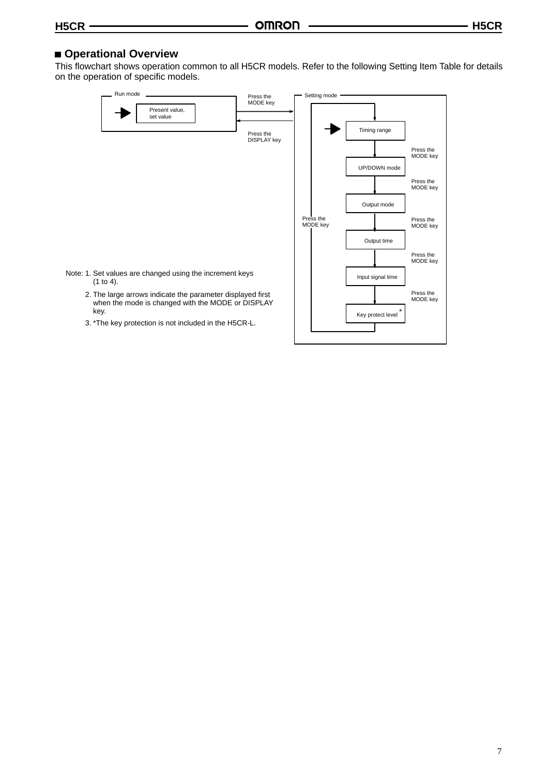### **Operational Overview**

This flowchart shows operation common to all H5CR models. Refer to the following Setting Item Table for details on the operation of specific models.

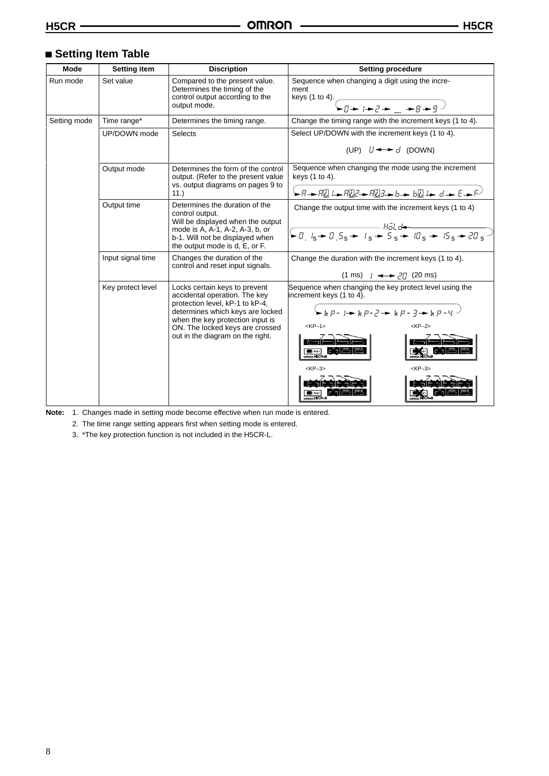### **Setting Item Table**

| <b>Mode</b>  | <b>Setting item</b>                                                                                                                                                                                                                                                   | <b>Discription</b>                                                                                                     | <b>Setting procedure</b>                                                                                                                                                                                                                                                                              |  |
|--------------|-----------------------------------------------------------------------------------------------------------------------------------------------------------------------------------------------------------------------------------------------------------------------|------------------------------------------------------------------------------------------------------------------------|-------------------------------------------------------------------------------------------------------------------------------------------------------------------------------------------------------------------------------------------------------------------------------------------------------|--|
| Run mode     | Set value<br>Compared to the present value.<br>Determines the timing of the<br>control output according to the<br>output mode.                                                                                                                                        |                                                                                                                        | Sequence when changing a digit using the incre-<br>ment<br>keys (1 to 4). $\sim$<br>$\sqrt{q+1+2+1+q}$                                                                                                                                                                                                |  |
| Setting mode | Time range*                                                                                                                                                                                                                                                           | Determines the timing range.                                                                                           | Change the timing range with the increment keys (1 to 4).                                                                                                                                                                                                                                             |  |
|              | UP/DOWN mode                                                                                                                                                                                                                                                          | <b>Selects</b>                                                                                                         | Select UP/DOWN with the increment keys (1 to 4).<br>(UP) $L \rightarrow d$ (DOWN)                                                                                                                                                                                                                     |  |
|              | Output mode                                                                                                                                                                                                                                                           | Determines the form of the control<br>output. (Refer to the present value<br>vs. output diagrams on pages 9 to<br>11.) | Sequence when changing the mode using the increment<br>keys (1 to 4).                                                                                                                                                                                                                                 |  |
|              | Output time<br>Determines the duration of the<br>control output.<br>Will be displayed when the output<br>mode is A, A-1, A-2, A-3, b, or<br>b-1. Will not be displayed when<br>the output mode is d, E, or F.                                                         |                                                                                                                        | Change the output time with the increment keys (1 to 4)<br>$\sqrt{10.1s + 0.5s + 1s + 5s + 15s + 20s}$                                                                                                                                                                                                |  |
|              | Input signal time                                                                                                                                                                                                                                                     | Changes the duration of the<br>control and reset input signals.                                                        | Change the duration with the increment keys (1 to 4).<br>$(1 \text{ ms})$ $(4 \rightarrow 77)$ (20 ms)                                                                                                                                                                                                |  |
|              | Key protect level<br>Locks certain keys to prevent<br>accidental operation. The key<br>protection level, kP-1 to kP-4,<br>determines which keys are locked<br>when the key protection input is<br>ON. The locked keys are crossed<br>out in the diagram on the right. |                                                                                                                        | Sequence when changing the key protect level using the<br>increment keys (1 to 4).<br>$S_{\geq k}$ $p - \frac{1}{2}$ $\geq k$ $p - \frac{1}{2}$ $\geq k$ $p - \frac{1}{2}$<br>$<$ KP $-2$ ><br>$<$ KP $-1$ ><br><b>Second Second</b><br>omnon H5CR-<br>$<$ KP $-3$ ><br><kp-3><br/>omnon H5CR-</kp-3> |  |

**Note:** 1. Changes made in setting mode become effective when run mode is entered.

2. The time range setting appears first when setting mode is entered.

3. \*The key protection function is not included in the H5CR-L.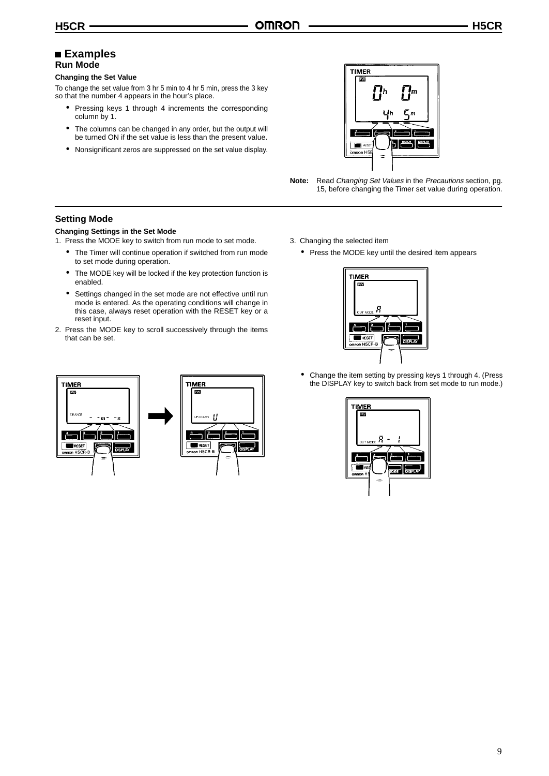### **Examples Run Mode**

#### **Changing the Set Value**

To change the set value from 3 hr 5 min to 4 hr 5 min, press the 3 key so that the number 4 appears in the hour's place.

- Pressing keys 1 through 4 increments the corresponding column by 1.
- The columns can be changed in any order, but the output will be turned ON if the set value is less than the present value.
- Nonsignificant zeros are suppressed on the set value display.



**Note:** Read Changing Set Values in the Precautions section, pg. 15, before changing the Timer set value during operation.

### **Setting Mode**

### **Changing Settings in the Set Mode**

1. Press the MODE key to switch from run mode to set mode.

- The Timer will continue operation if switched from run mode to set mode during operation.
- The MODE key will be locked if the key protection function is enabled.
- Settings changed in the set mode are not effective until run mode is entered. As the operating conditions will change in this case, always reset operation with the RESET key or a reset input.
- 2. Press the MODE key to scroll successively through the items that can be set.



- 3. Changing the selected item
	- Press the MODE key until the desired item appears



• Change the item setting by pressing keys 1 through 4. (Press the DISPLAY key to switch back from set mode to run mode.)

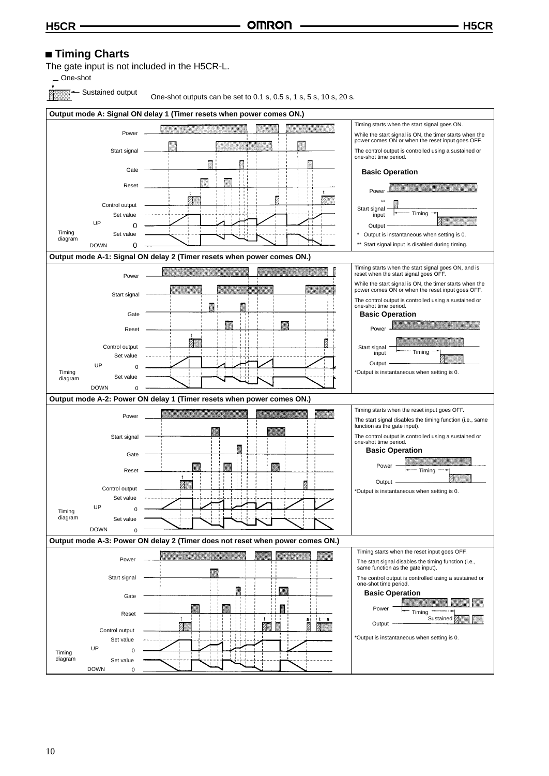### ■ **Timing Charts**

The gate input is not included in the H5CR-L.

One-shot

Sustained output

One-shot outputs can be set to 0.1 s, 0.5 s, 1 s, 5 s, 10 s, 20 s.

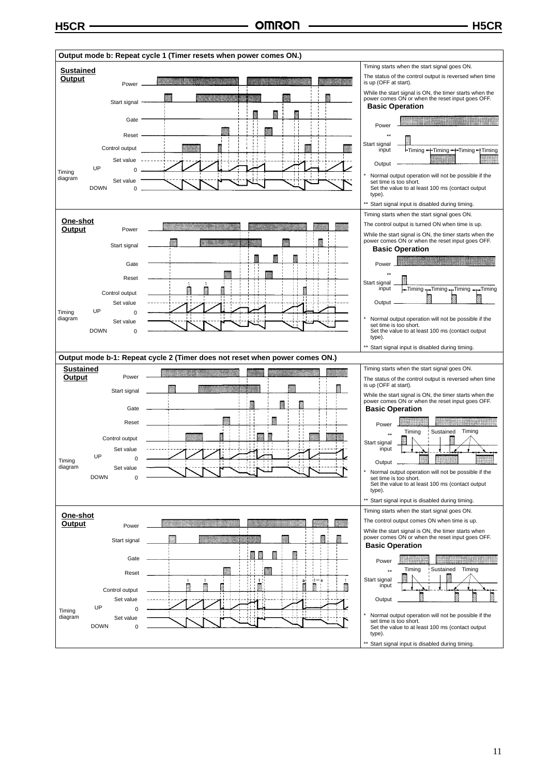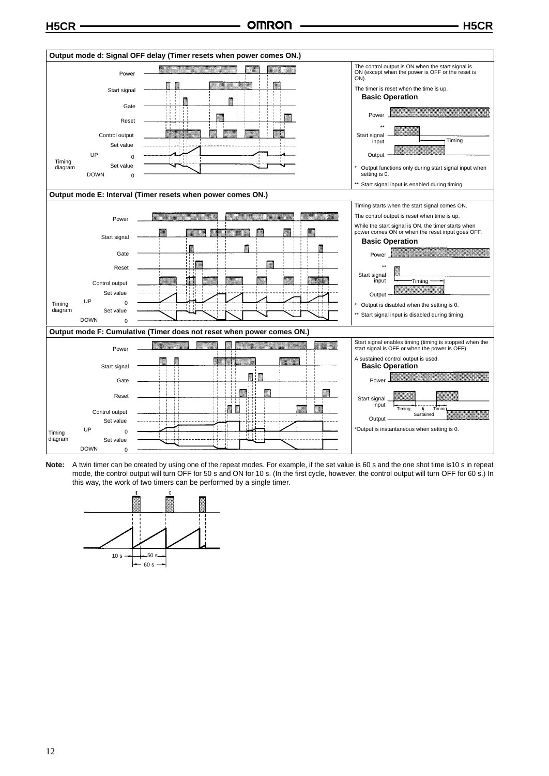

**Note:** A twin timer can be created by using one of the repeat modes. For example, if the set value is 60 s and the one shot time is10 s in repeat mode, the control output will turn OFF for 50 s and ON for 10 s. (In the first cycle, however, the control output will turn OFF for 60 s.) In this way, the work of two timers can be performed by a single timer.

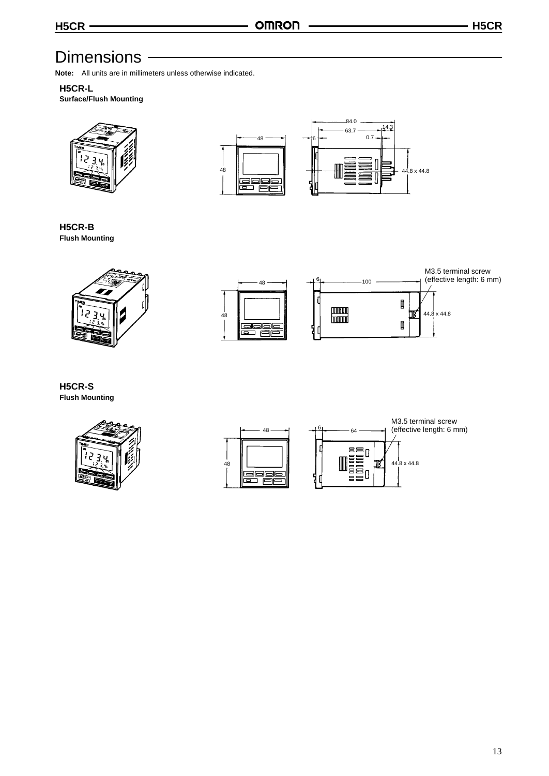### **Dimensions**

**Note:** All units are in millimeters unless otherwise indicated.

### **H5CR-L**

**Surface/Flush Mounting**





**H5CR-B Flush Mounting**





**H5CR-S Flush Mounting**



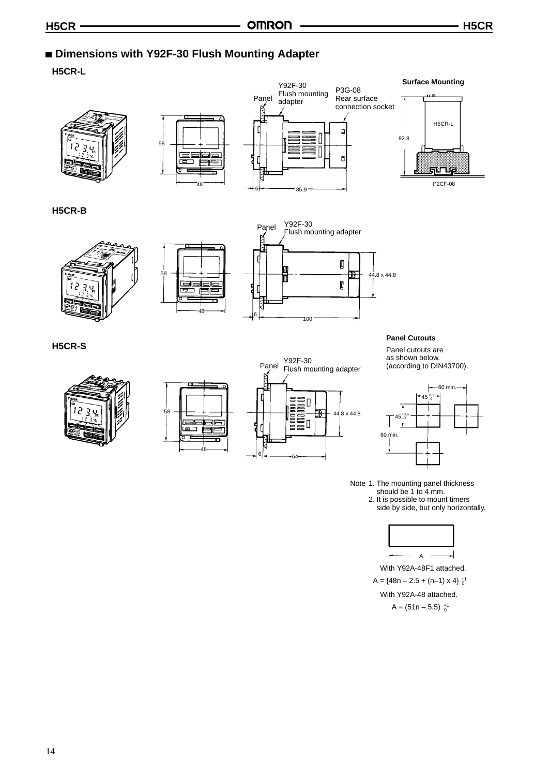### **Dimensions with Y92F-30 Flush Mounting Adapter**

**H5CR-L**









### **H5CR-B**





58

عھا

تھا

**i**ac

31



#### **Panel Cutouts**

Panel cutouts are as shown below. (according to DIN43700).



Note 1. The mounting panel thickness should be 1 to 4 mm. 2. It is possible to mount timers side by side, but only horizontally.



 $A = \{48n - 2.5 + (n-1) \times 4\}$ <sup>+1</sup> With Y92A-48F1 attached.  $A = (51n - 5.5)_{0}^{+1}$ With Y92A-48 attached.





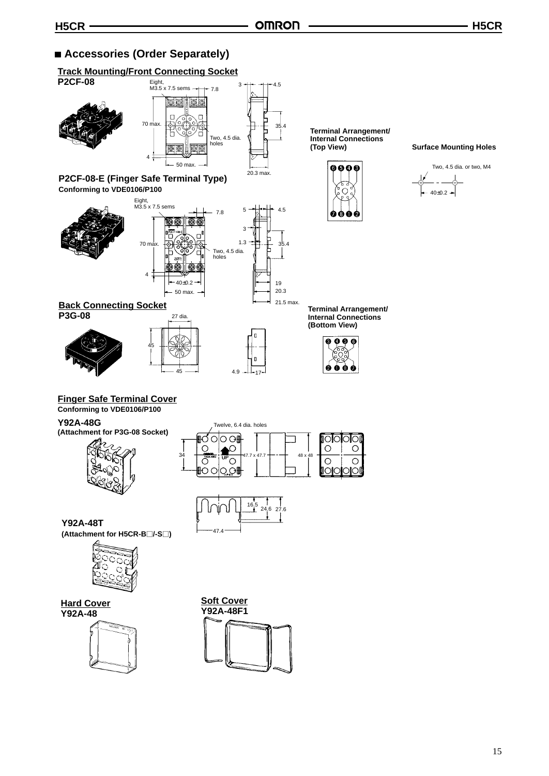### ■ Accessories (Order Separately)

### **Track Mounting/Front Connecting Socket**



**Y92A-48**



**Y92A-48F1**

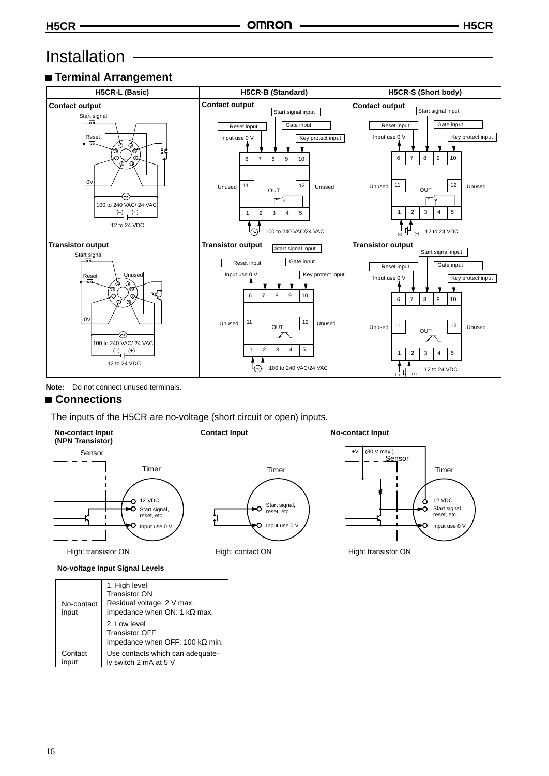### Installation

### **Terminal Arrangement**



**Note:** Do not connect unused terminals.

### **Connections**

The inputs of the H5CR are no-voltage (short circuit or open) inputs.



High: transistor ON



| No-contact<br>input | 1. High level<br><b>Transistor ON</b><br>Residual voltage: 2 V max.<br>Impedance when ON: 1 $k\Omega$ max. |
|---------------------|------------------------------------------------------------------------------------------------------------|
|                     | 2. Low level<br><b>Transistor OFF</b><br>Impedance when OFF: 100 $k\Omega$ min.                            |
| Contact<br>input    | Use contacts which can adequate-<br>ly switch 2 mA at 5 V                                                  |